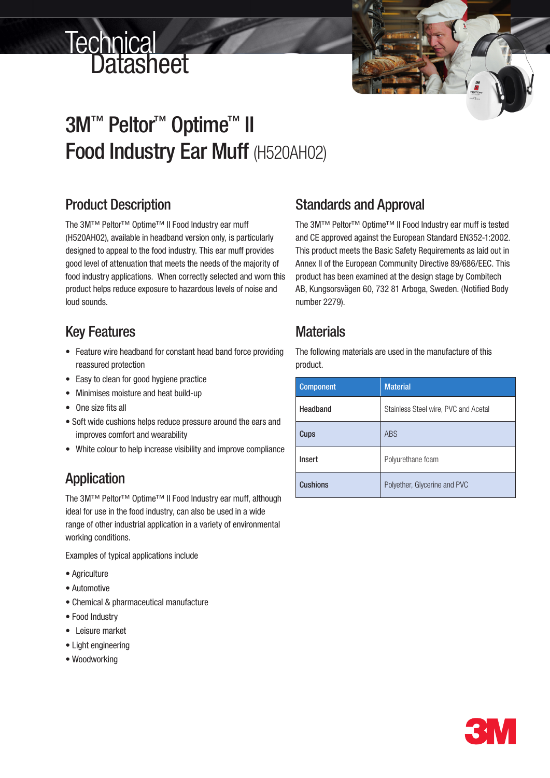# **Technical<br>Datasheet**

## 3M™ Peltor<sup>™</sup> Optime<sup>™</sup> II Food Industry Ear Muff (H520AH02)

#### Product Description

The 3M™ Peltor™ Optime™ II Food Industry ear muff (H520AH02), available in headband version only, is particularly designed to appeal to the food industry. This ear muff provides good level of attenuation that meets the needs of the majority of food industry applications. When correctly selected and worn this product helps reduce exposure to hazardous levels of noise and loud sounds.

#### Key Features

- Feature wire headband for constant head band force providing reassured protection
- • Easy to clean for good hygiene practice
- • Minimises moisture and heat build-up
- One size fits all
- Soft wide cushions helps reduce pressure around the ears and improves comfort and wearability
- White colour to help increase visibility and improve compliance

### Application

The 3M™ Peltor™ Optime™ II Food Industry ear muff, although ideal for use in the food industry, can also be used in a wide range of other industrial application in a variety of environmental working conditions.

Examples of typical applications include

- Agriculture
- Automotive
- Chemical & pharmaceutical manufacture
- Food Industry
- • Leisure market
- Light engineering
- Woodworking

#### Standards and Approval

The 3M™ Peltor™ Optime™ II Food Industry ear muff is tested and CE approved against the European Standard EN352-1:2002. This product meets the Basic Safety Requirements as laid out in Annex II of the European Community Directive 89/686/EEC. This product has been examined at the design stage by Combitech AB, Kungsorsvägen 60, 732 81 Arboga, Sweden. (Notified Body number 2279).

#### **Materials**

The following materials are used in the manufacture of this product.

| <b>Component</b> | <b>Material</b>                      |  |  |  |  |
|------------------|--------------------------------------|--|--|--|--|
| Headband         | Stainless Steel wire, PVC and Acetal |  |  |  |  |
| Cups             | <b>ABS</b>                           |  |  |  |  |
| Insert           | Polyurethane foam                    |  |  |  |  |
| <b>Cushions</b>  | Polyether, Glycerine and PVC         |  |  |  |  |